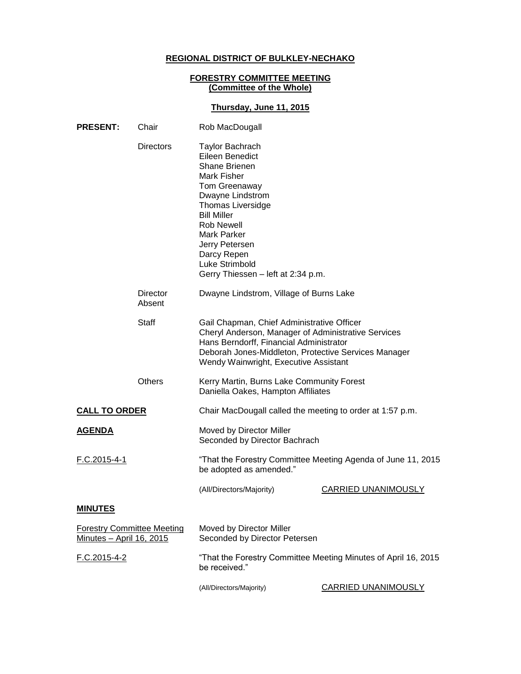# **REGIONAL DISTRICT OF BULKLEY-NECHAKO**

#### **FORESTRY COMMITTEE MEETING (Committee of the Whole)**

## **Thursday, June 11, 2015**

| <b>PRESENT:</b>                                                       | Chair                     | Rob MacDougall                                                                                                                                                                                                                                                                                       |                            |
|-----------------------------------------------------------------------|---------------------------|------------------------------------------------------------------------------------------------------------------------------------------------------------------------------------------------------------------------------------------------------------------------------------------------------|----------------------------|
|                                                                       | <b>Directors</b>          | <b>Taylor Bachrach</b><br>Eileen Benedict<br>Shane Brienen<br>Mark Fisher<br>Tom Greenaway<br>Dwayne Lindstrom<br><b>Thomas Liversidge</b><br><b>Bill Miller</b><br><b>Rob Newell</b><br><b>Mark Parker</b><br>Jerry Petersen<br>Darcy Repen<br>Luke Strimbold<br>Gerry Thiessen - left at 2:34 p.m. |                            |
|                                                                       | <b>Director</b><br>Absent | Dwayne Lindstrom, Village of Burns Lake                                                                                                                                                                                                                                                              |                            |
|                                                                       | <b>Staff</b>              | Gail Chapman, Chief Administrative Officer<br>Cheryl Anderson, Manager of Administrative Services<br>Hans Berndorff, Financial Administrator<br>Deborah Jones-Middleton, Protective Services Manager<br>Wendy Wainwright, Executive Assistant                                                        |                            |
|                                                                       | <b>Others</b>             | Kerry Martin, Burns Lake Community Forest<br>Daniella Oakes, Hampton Affiliates                                                                                                                                                                                                                      |                            |
| <b>CALL TO ORDER</b>                                                  |                           | Chair MacDougall called the meeting to order at 1:57 p.m.                                                                                                                                                                                                                                            |                            |
| <u>AGENDA</u>                                                         |                           | Moved by Director Miller<br>Seconded by Director Bachrach                                                                                                                                                                                                                                            |                            |
| <u>F.C.2015-4-1</u>                                                   |                           | "That the Forestry Committee Meeting Agenda of June 11, 2015<br>be adopted as amended."                                                                                                                                                                                                              |                            |
|                                                                       |                           | (All/Directors/Majority)                                                                                                                                                                                                                                                                             | <b>CARRIED UNANIMOUSLY</b> |
| <b>MINUTES</b>                                                        |                           |                                                                                                                                                                                                                                                                                                      |                            |
| <b>Forestry Committee Meeting</b><br><u> Minutes – April 16, 2015</u> |                           | Moved by Director Miller<br>Seconded by Director Petersen                                                                                                                                                                                                                                            |                            |
| F.C.2015-4-2                                                          |                           | "That the Forestry Committee Meeting Minutes of April 16, 2015<br>be received."                                                                                                                                                                                                                      |                            |
|                                                                       |                           | (All/Directors/Majority)                                                                                                                                                                                                                                                                             | <b>CARRIED UNANIMOUSLY</b> |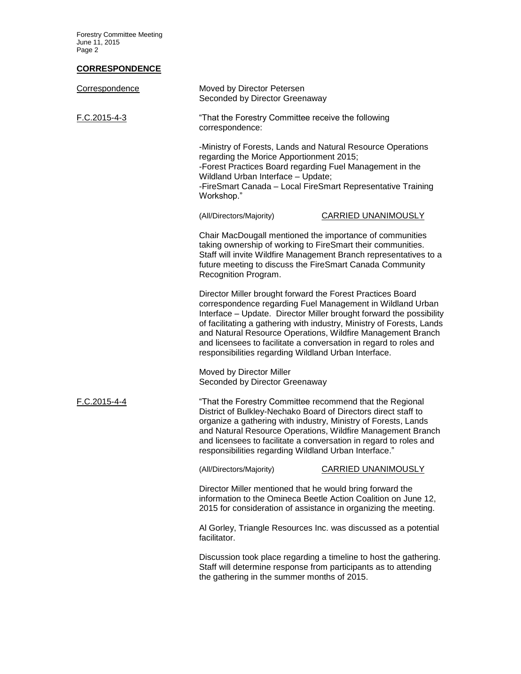Forestry Committee Meeting June 11, 2015 Page 2

## **CORRESPONDENCE**

| Correspondence | Moved by Director Petersen<br>Seconded by Director Greenaway                                                                                                                                                                                                                                                                                                                                                                                                         |                            |  |
|----------------|----------------------------------------------------------------------------------------------------------------------------------------------------------------------------------------------------------------------------------------------------------------------------------------------------------------------------------------------------------------------------------------------------------------------------------------------------------------------|----------------------------|--|
| F.C.2015-4-3   | "That the Forestry Committee receive the following<br>correspondence:                                                                                                                                                                                                                                                                                                                                                                                                |                            |  |
|                | -Ministry of Forests, Lands and Natural Resource Operations<br>regarding the Morice Apportionment 2015;<br>-Forest Practices Board regarding Fuel Management in the<br>Wildland Urban Interface - Update;<br>-FireSmart Canada - Local FireSmart Representative Training<br>Workshop."                                                                                                                                                                               |                            |  |
|                | (All/Directors/Majority)                                                                                                                                                                                                                                                                                                                                                                                                                                             | <b>CARRIED UNANIMOUSLY</b> |  |
|                | Chair MacDougall mentioned the importance of communities<br>taking ownership of working to FireSmart their communities.<br>Staff will invite Wildfire Management Branch representatives to a<br>future meeting to discuss the FireSmart Canada Community<br>Recognition Program.                                                                                                                                                                                     |                            |  |
|                | Director Miller brought forward the Forest Practices Board<br>correspondence regarding Fuel Management in Wildland Urban<br>Interface - Update. Director Miller brought forward the possibility<br>of facilitating a gathering with industry, Ministry of Forests, Lands<br>and Natural Resource Operations, Wildfire Management Branch<br>and licensees to facilitate a conversation in regard to roles and<br>responsibilities regarding Wildland Urban Interface. |                            |  |
|                | Moved by Director Miller<br>Seconded by Director Greenaway                                                                                                                                                                                                                                                                                                                                                                                                           |                            |  |
| F.C.2015-4-4   | "That the Forestry Committee recommend that the Regional<br>District of Bulkley-Nechako Board of Directors direct staff to<br>organize a gathering with industry, Ministry of Forests, Lands<br>and Natural Resource Operations, Wildfire Management Branch<br>and licensees to facilitate a conversation in regard to roles and<br>responsibilities regarding Wildland Urban Interface."                                                                            |                            |  |
|                | (All/Directors/Majority)                                                                                                                                                                                                                                                                                                                                                                                                                                             | <b>CARRIED UNANIMOUSLY</b> |  |
|                | Director Miller mentioned that he would bring forward the<br>information to the Omineca Beetle Action Coalition on June 12,<br>2015 for consideration of assistance in organizing the meeting.                                                                                                                                                                                                                                                                       |                            |  |
|                | Al Gorley, Triangle Resources Inc. was discussed as a potential<br>facilitator.                                                                                                                                                                                                                                                                                                                                                                                      |                            |  |
|                | Discussion took place regarding a timeline to host the gathering.<br>Staff will determine response from participants as to attending<br>the gathering in the summer months of 2015.                                                                                                                                                                                                                                                                                  |                            |  |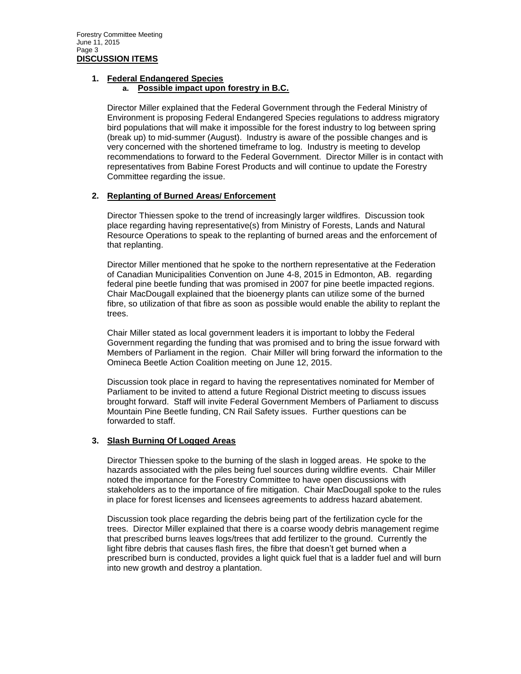### **1. Federal Endangered Species**

### **a. Possible impact upon forestry in B.C.**

Director Miller explained that the Federal Government through the Federal Ministry of Environment is proposing Federal Endangered Species regulations to address migratory bird populations that will make it impossible for the forest industry to log between spring (break up) to mid-summer (August). Industry is aware of the possible changes and is very concerned with the shortened timeframe to log. Industry is meeting to develop recommendations to forward to the Federal Government. Director Miller is in contact with representatives from Babine Forest Products and will continue to update the Forestry Committee regarding the issue.

## **2. Replanting of Burned Areas/ Enforcement**

Director Thiessen spoke to the trend of increasingly larger wildfires. Discussion took place regarding having representative(s) from Ministry of Forests, Lands and Natural Resource Operations to speak to the replanting of burned areas and the enforcement of that replanting.

Director Miller mentioned that he spoke to the northern representative at the Federation of Canadian Municipalities Convention on June 4-8, 2015 in Edmonton, AB. regarding federal pine beetle funding that was promised in 2007 for pine beetle impacted regions. Chair MacDougall explained that the bioenergy plants can utilize some of the burned fibre, so utilization of that fibre as soon as possible would enable the ability to replant the trees.

Chair Miller stated as local government leaders it is important to lobby the Federal Government regarding the funding that was promised and to bring the issue forward with Members of Parliament in the region. Chair Miller will bring forward the information to the Omineca Beetle Action Coalition meeting on June 12, 2015.

Discussion took place in regard to having the representatives nominated for Member of Parliament to be invited to attend a future Regional District meeting to discuss issues brought forward. Staff will invite Federal Government Members of Parliament to discuss Mountain Pine Beetle funding, CN Rail Safety issues. Further questions can be forwarded to staff.

### **3. Slash Burning Of Logged Areas**

Director Thiessen spoke to the burning of the slash in logged areas. He spoke to the hazards associated with the piles being fuel sources during wildfire events. Chair Miller noted the importance for the Forestry Committee to have open discussions with stakeholders as to the importance of fire mitigation. Chair MacDougall spoke to the rules in place for forest licenses and licensees agreements to address hazard abatement.

Discussion took place regarding the debris being part of the fertilization cycle for the trees. Director Miller explained that there is a coarse woody debris management regime that prescribed burns leaves logs/trees that add fertilizer to the ground. Currently the light fibre debris that causes flash fires, the fibre that doesn't get burned when a prescribed burn is conducted, provides a light quick fuel that is a ladder fuel and will burn into new growth and destroy a plantation.